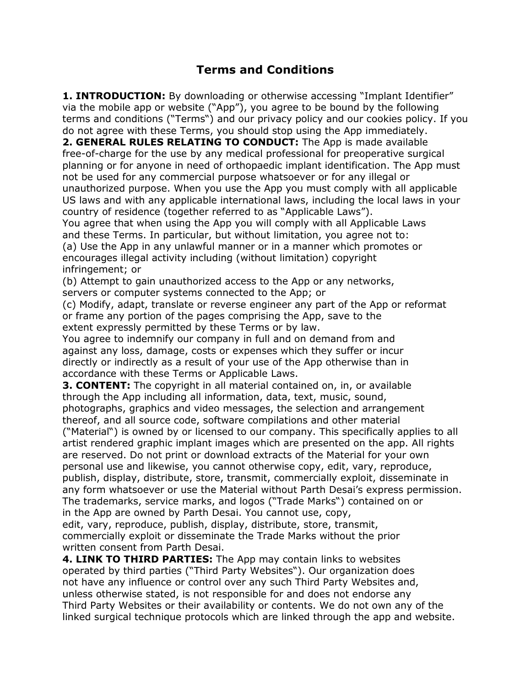## **Terms and Conditions**

**1. INTRODUCTION:** By downloading or otherwise accessing "Implant Identifier" via the mobile app or website ("App"), you agree to be bound by the following terms and conditions ("Terms") and our privacy policy and our cookies policy. If you do not agree with these Terms, you should stop using the App immediately. **2. GENERAL RULES RELATING TO CONDUCT:** The App is made available free-of-charge for the use by any medical professional for preoperative surgical planning or for anyone in need of orthopaedic implant identification. The App must not be used for any commercial purpose whatsoever or for any illegal or unauthorized purpose. When you use the App you must comply with all applicable US laws and with any applicable international laws, including the local laws in your country of residence (together referred to as "Applicable Laws"). You agree that when using the App you will comply with all Applicable Laws and these Terms. In particular, but without limitation, you agree not to: (a) Use the App in any unlawful manner or in a manner which promotes or encourages illegal activity including (without limitation) copyright

infringement; or

(b) Attempt to gain unauthorized access to the App or any networks, servers or computer systems connected to the App; or

(c) Modify, adapt, translate or reverse engineer any part of the App or reformat or frame any portion of the pages comprising the App, save to the extent expressly permitted by these Terms or by law.

You agree to indemnify our company in full and on demand from and against any loss, damage, costs or expenses which they suffer or incur directly or indirectly as a result of your use of the App otherwise than in accordance with these Terms or Applicable Laws.

**3. CONTENT:** The copyright in all material contained on, in, or available through the App including all information, data, text, music, sound, photographs, graphics and video messages, the selection and arrangement thereof, and all source code, software compilations and other material ("Material") is owned by or licensed to our company. This specifically applies to all artist rendered graphic implant images which are presented on the app. All rights are reserved. Do not print or download extracts of the Material for your own personal use and likewise, you cannot otherwise copy, edit, vary, reproduce, publish, display, distribute, store, transmit, commercially exploit, disseminate in any form whatsoever or use the Material without Parth Desai's express permission. The trademarks, service marks, and logos ("Trade Marks") contained on or in the App are owned by Parth Desai. You cannot use, copy, edit, vary, reproduce, publish, display, distribute, store, transmit, commercially exploit or disseminate the Trade Marks without the prior

written consent from Parth Desai.

**4. LINK TO THIRD PARTIES:** The App may contain links to websites operated by third parties ("Third Party Websites"). Our organization does not have any influence or control over any such Third Party Websites and, unless otherwise stated, is not responsible for and does not endorse any Third Party Websites or their availability or contents. We do not own any of the linked surgical technique protocols which are linked through the app and website.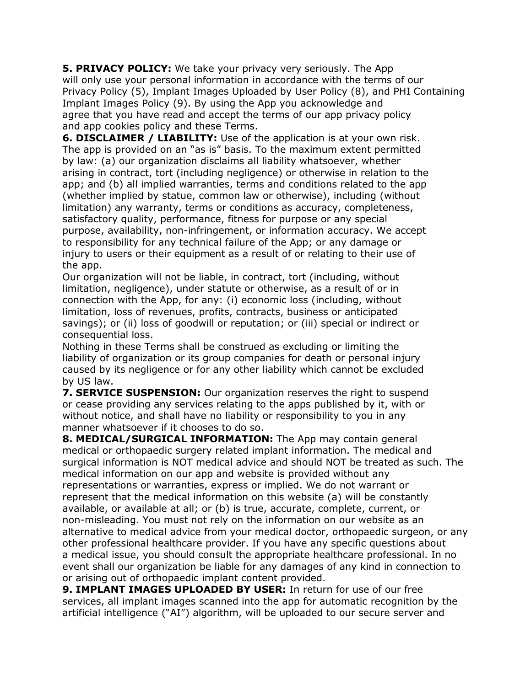**5. PRIVACY POLICY:** We take your privacy very seriously. The App will only use your personal information in accordance with the terms of our Privacy Policy (5), Implant Images Uploaded by User Policy (8), and PHI Containing Implant Images Policy (9). By using the App you acknowledge and agree that you have read and accept the terms of our app privacy policy and app cookies policy and these Terms.

**6. DISCLAIMER / LIABILITY:** Use of the application is at your own risk. The app is provided on an "as is" basis. To the maximum extent permitted by law: (a) our organization disclaims all liability whatsoever, whether arising in contract, tort (including negligence) or otherwise in relation to the app; and (b) all implied warranties, terms and conditions related to the app (whether implied by statue, common law or otherwise), including (without limitation) any warranty, terms or conditions as accuracy, completeness, satisfactory quality, performance, fitness for purpose or any special purpose, availability, non-infringement, or information accuracy. We accept to responsibility for any technical failure of the App; or any damage or injury to users or their equipment as a result of or relating to their use of the app.

Our organization will not be liable, in contract, tort (including, without limitation, negligence), under statute or otherwise, as a result of or in connection with the App, for any: (i) economic loss (including, without limitation, loss of revenues, profits, contracts, business or anticipated savings); or (ii) loss of goodwill or reputation; or (iii) special or indirect or consequential loss.

Nothing in these Terms shall be construed as excluding or limiting the liability of organization or its group companies for death or personal injury caused by its negligence or for any other liability which cannot be excluded by US law.

**7. SERVICE SUSPENSION:** Our organization reserves the right to suspend or cease providing any services relating to the apps published by it, with or without notice, and shall have no liability or responsibility to you in any manner whatsoever if it chooses to do so.

**8. MEDICAL/SURGICAL INFORMATION:** The App may contain general medical or orthopaedic surgery related implant information. The medical and surgical information is NOT medical advice and should NOT be treated as such. The medical information on our app and website is provided without any representations or warranties, express or implied. We do not warrant or represent that the medical information on this website (a) will be constantly available, or available at all; or (b) is true, accurate, complete, current, or non-misleading. You must not rely on the information on our website as an alternative to medical advice from your medical doctor, orthopaedic surgeon, or any other professional healthcare provider. If you have any specific questions about a medical issue, you should consult the appropriate healthcare professional. In no event shall our organization be liable for any damages of any kind in connection to or arising out of orthopaedic implant content provided.

**9. IMPLANT IMAGES UPLOADED BY USER:** In return for use of our free services, all implant images scanned into the app for automatic recognition by the artificial intelligence ("AI") algorithm, will be uploaded to our secure server and